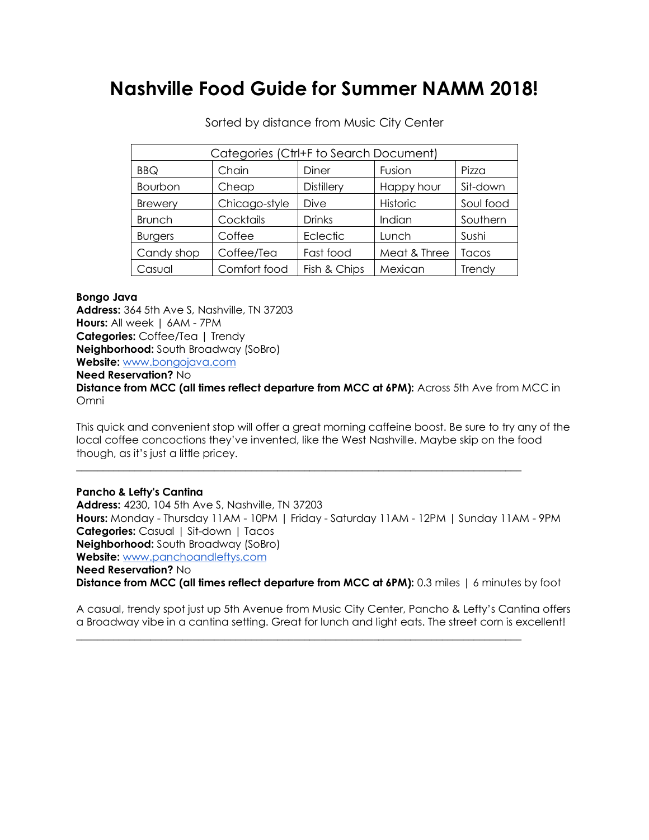# **Nashville Food Guide for Summer NAMM 2018!**

| Categories (Ctrl+F to Search Document) |               |                   |              |           |
|----------------------------------------|---------------|-------------------|--------------|-----------|
| <b>BBQ</b>                             | Chain         | Diner             | Fusion       | Pizza     |
| Bourbon                                | Cheap         | <b>Distillery</b> | Happy hour   | Sit-down  |
| <b>Brewery</b>                         | Chicago-style | Dive              | Historic     | Soul food |
| <b>Brunch</b>                          | Cocktails     | <b>Drinks</b>     | Indian       | Southern  |
| <b>Burgers</b>                         | Coffee        | Eclectic          | Lunch        | Sushi     |
| Candy shop                             | Coffee/Tea    | Fast food         | Meat & Three | Tacos     |
| Casual                                 | Comfort food  | Fish & Chips      | Mexican      | Trendy    |

Sorted by distance from Music City Center

## **Bongo Java**

**Address:** 364 5th Ave S, Nashville, TN 37203 **Hours:** All week | 6AM - 7PM **Categories:** Coffee/Tea | Trendy **Neighborhood:** South Broadway (SoBro) **Website:** www.bongojava.com **Need Reservation?** No **Distance from MCC (all times reflect departure from MCC at 6PM):** Across 5th Ave from MCC in Omni

This quick and convenient stop will offer a great morning caffeine boost. Be sure to try any of the local coffee concoctions they've invented, like the West Nashville. Maybe skip on the food though, as it's just a little pricey.

\_\_\_\_\_\_\_\_\_\_\_\_\_\_\_\_\_\_\_\_\_\_\_\_\_\_\_\_\_\_\_\_\_\_\_\_\_\_\_\_\_\_\_\_\_\_\_\_\_\_\_\_\_\_\_\_\_\_\_\_\_\_\_\_\_\_\_\_\_\_\_\_\_\_\_\_\_\_\_\_\_\_\_\_

**Pancho & Lefty's Cantina Address:** 4230, 104 5th Ave S, Nashville, TN 37203 **Hours:** Monday - Thursday 11AM - 10PM | Friday - Saturday 11AM - 12PM | Sunday 11AM - 9PM **Categories:** Casual | Sit-down | Tacos **Neighborhood:** South Broadway (SoBro) **Website:** www.panchoandleftys.com **Need Reservation?** No **Distance from MCC (all times reflect departure from MCC at 6PM):** 0.3 miles | 6 minutes by foot

A casual, trendy spot just up 5th Avenue from Music City Center, Pancho & Lefty's Cantina offers a Broadway vibe in a cantina setting. Great for lunch and light eats. The street corn is excellent!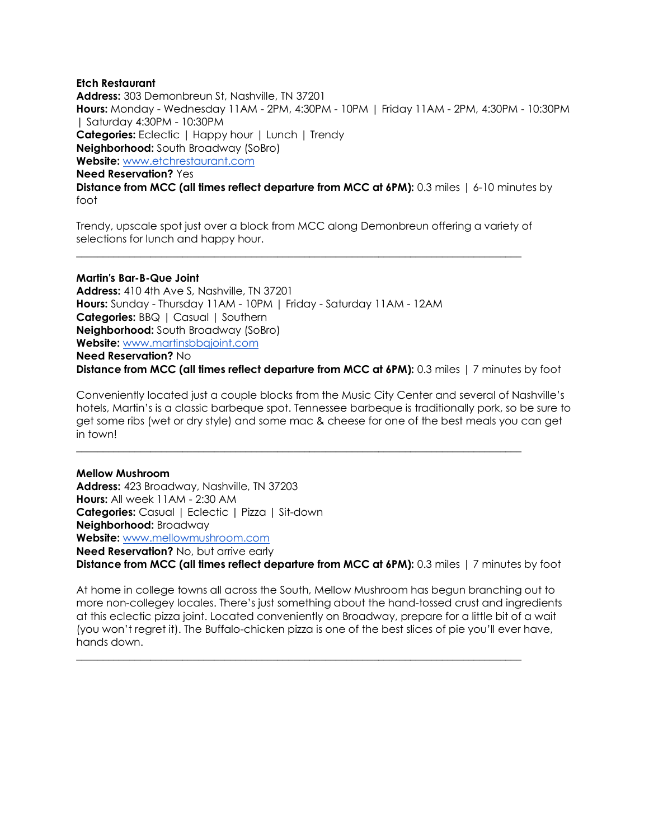## **Etch Restaurant**

**Address:** 303 Demonbreun St, Nashville, TN 37201 **Hours:** Monday - Wednesday 11AM - 2PM, 4:30PM - 10PM | Friday 11AM - 2PM, 4:30PM - 10:30PM | Saturday 4:30PM - 10:30PM **Categories:** Eclectic | Happy hour | Lunch | Trendy **Neighborhood:** South Broadway (SoBro) **Website:** www.etchrestaurant.com **Need Reservation?** Yes **Distance from MCC (all times reflect departure from MCC at 6PM):** 0.3 miles | 6-10 minutes by foot

Trendy, upscale spot just over a block from MCC along Demonbreun offering a variety of selections for lunch and happy hour.

\_\_\_\_\_\_\_\_\_\_\_\_\_\_\_\_\_\_\_\_\_\_\_\_\_\_\_\_\_\_\_\_\_\_\_\_\_\_\_\_\_\_\_\_\_\_\_\_\_\_\_\_\_\_\_\_\_\_\_\_\_\_\_\_\_\_\_\_\_\_\_\_\_\_\_\_\_\_\_\_\_\_\_\_

**Martin's Bar-B-Que Joint Address:** 410 4th Ave S, Nashville, TN 37201 **Hours:** Sunday - Thursday 11AM - 10PM | Friday - Saturday 11AM - 12AM **Categories: BBQ | Casual | Southern Neighborhood:** South Broadway (SoBro) **Website:** www.martinsbbqjoint.com **Need Reservation?** No

**Distance from MCC (all times reflect departure from MCC at 6PM):** 0.3 miles | 7 minutes by foot

Conveniently located just a couple blocks from the Music City Center and several of Nashville's hotels, Martin's is a classic barbeque spot. Tennessee barbeque is traditionally pork, so be sure to get some ribs (wet or dry style) and some mac & cheese for one of the best meals you can get in town!

\_\_\_\_\_\_\_\_\_\_\_\_\_\_\_\_\_\_\_\_\_\_\_\_\_\_\_\_\_\_\_\_\_\_\_\_\_\_\_\_\_\_\_\_\_\_\_\_\_\_\_\_\_\_\_\_\_\_\_\_\_\_\_\_\_\_\_\_\_\_\_\_\_\_\_\_\_\_\_\_\_\_\_\_

## **Mellow Mushroom**

**Address:** 423 Broadway, Nashville, TN 37203 **Hours:** All week 11AM - 2:30 AM **Categories:** Casual | Eclectic | Pizza | Sit-down **Neighborhood:** Broadway **Website:** www.mellowmushroom.com **Need Reservation?** No, but arrive early **Distance from MCC (all times reflect departure from MCC at 6PM):** 0.3 miles | 7 minutes by foot

At home in college towns all across the South, Mellow Mushroom has begun branching out to more non-collegey locales. There's just something about the hand-tossed crust and ingredients at this eclectic pizza joint. Located conveniently on Broadway, prepare for a little bit of a wait (you won't regret it). The Buffalo-chicken pizza is one of the best slices of pie you'll ever have, hands down.

 $\mathcal{L}_\text{max} = \{ \mathcal{L}_\text{max} = \{ \mathcal{L}_\text{max} = \{ \mathcal{L}_\text{max} = \{ \mathcal{L}_\text{max} = \{ \mathcal{L}_\text{max} = \{ \mathcal{L}_\text{max} = \{ \mathcal{L}_\text{max} = \{ \mathcal{L}_\text{max} = \{ \mathcal{L}_\text{max} = \{ \mathcal{L}_\text{max} = \{ \mathcal{L}_\text{max} = \{ \mathcal{L}_\text{max} = \{ \mathcal{L}_\text{max} = \{ \mathcal{L}_\text{max} = \{ \mathcal{L}_\text{max$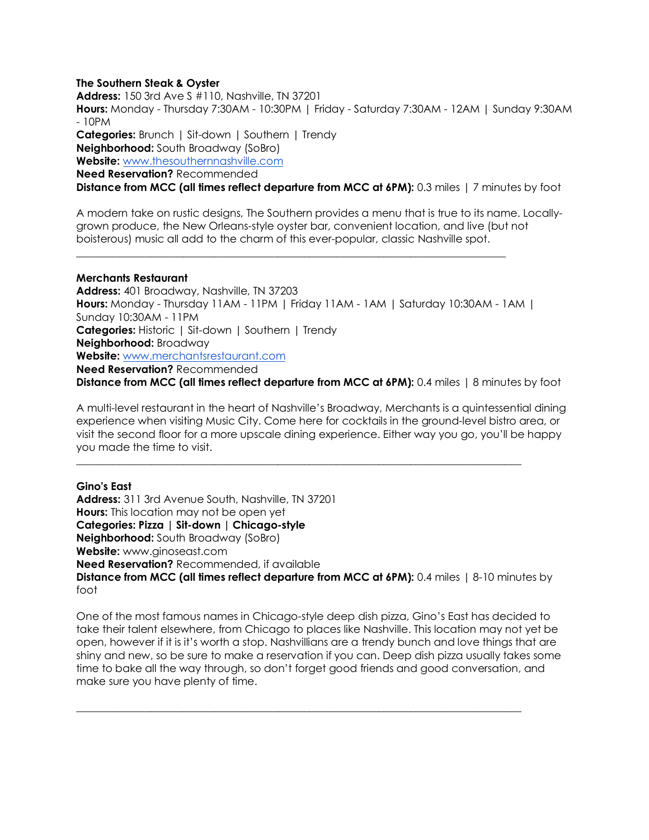## **The Southern Steak & Oyster**

**Address:** 150 3rd Ave S #110, Nashville, TN 37201 **Hours:** Monday - Thursday 7:30AM - 10:30PM | Friday - Saturday 7:30AM - 12AM | Sunday 9:30AM - 10PM **Categories:** Brunch | Sit-down | Southern | Trendy **Neighborhood:** South Broadway (SoBro) **Website:** www.thesouthernnashville.com **Need Reservation?** Recommended **Distance from MCC (all times reflect departure from MCC at 6PM):** 0.3 miles | 7 minutes by foot

A modern take on rustic designs, The Southern provides a menu that is true to its name. Locallygrown produce, the New Orleans-style oyster bar, convenient location, and live (but not boisterous) music all add to the charm of this ever-popular, classic Nashville spot.

\_\_\_\_\_\_\_\_\_\_\_\_\_\_\_\_\_\_\_\_\_\_\_\_\_\_\_\_\_\_\_\_\_\_\_\_\_\_\_\_\_\_\_\_\_\_\_\_\_\_\_\_\_\_\_\_\_\_\_\_\_\_\_\_\_\_\_\_\_\_\_\_\_\_\_\_\_\_\_\_\_

## **Merchants Restaurant**

**Address:** 401 Broadway, Nashville, TN 37203 **Hours:** Monday - Thursday 11AM - 11PM | Friday 11AM - 1AM | Saturday 10:30AM - 1AM | Sunday 10:30AM - 11PM **Categories:** Historic | Sit-down | Southern | Trendy **Neighborhood:** Broadway **Website:** www.merchantsrestaurant.com **Need Reservation?** Recommended **Distance from MCC (all times reflect departure from MCC at 6PM):** 0.4 miles | 8 minutes by foot

A multi-level restaurant in the heart of Nashville's Broadway, Merchants is a quintessential dining experience when visiting Music City. Come here for cocktails in the ground-level bistro area, or visit the second floor for a more upscale dining experience. Either way you go, you'll be happy you made the time to visit.

\_\_\_\_\_\_\_\_\_\_\_\_\_\_\_\_\_\_\_\_\_\_\_\_\_\_\_\_\_\_\_\_\_\_\_\_\_\_\_\_\_\_\_\_\_\_\_\_\_\_\_\_\_\_\_\_\_\_\_\_\_\_\_\_\_\_\_\_\_\_\_\_\_\_\_\_\_\_\_\_\_\_\_\_

**Gino's East Address:** 311 3rd Avenue South, Nashville, TN 37201 **Hours:** This location may not be open yet **Categories: Pizza | Sit-down | Chicago-style Neighborhood:** South Broadway (SoBro) **Website:** www.ginoseast.com **Need Reservation?** Recommended, if available **Distance from MCC (all times reflect departure from MCC at 6PM):** 0.4 miles | 8-10 minutes by foot

One of the most famous names in Chicago-style deep dish pizza, Gino's East has decided to take their talent elsewhere, from Chicago to places like Nashville. This location may not yet be open, however if it is it's worth a stop. Nashvillians are a trendy bunch and love things that are shiny and new, so be sure to make a reservation if you can. Deep dish pizza usually takes some time to bake all the way through, so don't forget good friends and good conversation, and make sure you have plenty of time.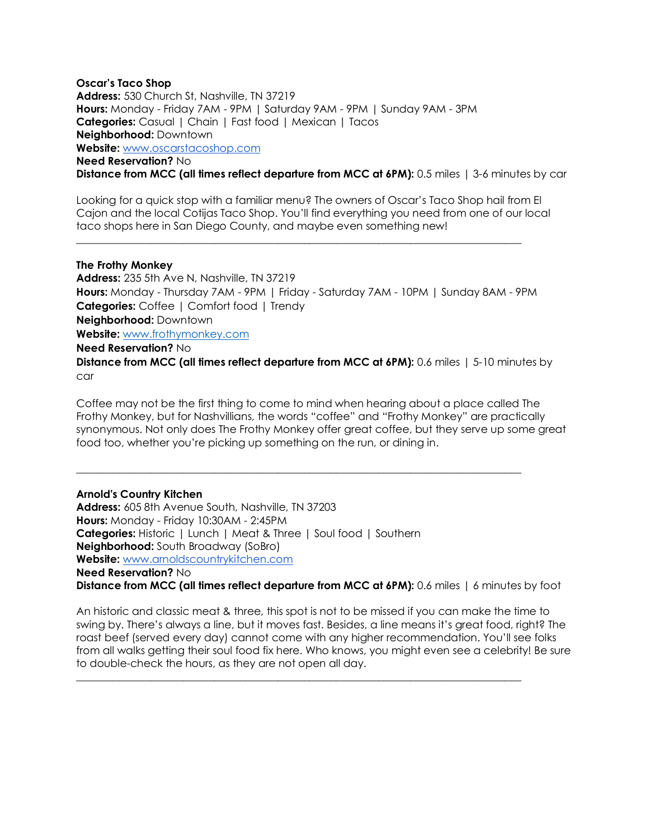## **Oscar's Taco Shop Address:** 530 Church St, Nashville, TN 37219 **Hours:** Monday - Friday 7AM - 9PM | Saturday 9AM - 9PM | Sunday 9AM - 3PM **Categories:** Casual | Chain | Fast food | Mexican | Tacos **Neighborhood:** Downtown **Website:** www.oscarstacoshop.com **Need Reservation?** No

**Distance from MCC (all times reflect departure from MCC at 6PM):** 0.5 miles | 3-6 minutes by car

Looking for a quick stop with a familiar menu? The owners of Oscar's Taco Shop hail from El Cajon and the local Cotijas Taco Shop. You'll find everything you need from one of our local taco shops here in San Diego County, and maybe even something new!

\_\_\_\_\_\_\_\_\_\_\_\_\_\_\_\_\_\_\_\_\_\_\_\_\_\_\_\_\_\_\_\_\_\_\_\_\_\_\_\_\_\_\_\_\_\_\_\_\_\_\_\_\_\_\_\_\_\_\_\_\_\_\_\_\_\_\_\_\_\_\_\_\_\_\_\_\_\_\_\_\_\_\_\_

## **The Frothy Monkey**

**Address:** 235 5th Ave N, Nashville, TN 37219 **Hours:** Monday - Thursday 7AM - 9PM | Friday - Saturday 7AM - 10PM | Sunday 8AM - 9PM **Categories:** Coffee | Comfort food | Trendy **Neighborhood:** Downtown **Website:** www.frothymonkey.com **Need Reservation?** No

**Distance from MCC (all times reflect departure from MCC at 6PM):** 0.6 miles | 5-10 minutes by car

Coffee may not be the first thing to come to mind when hearing about a place called The Frothy Monkey, but for Nashvillians, the words "coffee" and "Frothy Monkey" are practically synonymous. Not only does The Frothy Monkey offer great coffee, but they serve up some great food too, whether you're picking up something on the run, or dining in.

\_\_\_\_\_\_\_\_\_\_\_\_\_\_\_\_\_\_\_\_\_\_\_\_\_\_\_\_\_\_\_\_\_\_\_\_\_\_\_\_\_\_\_\_\_\_\_\_\_\_\_\_\_\_\_\_\_\_\_\_\_\_\_\_\_\_\_\_\_\_\_\_\_\_\_\_\_\_\_\_\_\_\_\_

## **Arnold's Country Kitchen**

**Address:** 605 8th Avenue South, Nashville, TN 37203 **Hours:** Monday - Friday 10:30AM - 2:45PM **Categories:** Historic | Lunch | Meat & Three | Soul food | Southern **Neighborhood:** South Broadway (SoBro) **Website:** www.arnoldscountrykitchen.com

**Need Reservation?** No

**Distance from MCC (all times reflect departure from MCC at 6PM):** 0.6 miles | 6 minutes by foot

An historic and classic meat & three, this spot is not to be missed if you can make the time to swing by. There's always a line, but it moves fast. Besides, a line means it's great food, right? The roast beef (served every day) cannot come with any higher recommendation. You'll see folks from all walks getting their soul food fix here. Who knows, you might even see a celebrity! Be sure to double-check the hours, as they are not open all day.

 $\mathcal{L}_\text{max} = \{ \mathcal{L}_\text{max} = \{ \mathcal{L}_\text{max} = \{ \mathcal{L}_\text{max} = \{ \mathcal{L}_\text{max} = \{ \mathcal{L}_\text{max} = \{ \mathcal{L}_\text{max} = \{ \mathcal{L}_\text{max} = \{ \mathcal{L}_\text{max} = \{ \mathcal{L}_\text{max} = \{ \mathcal{L}_\text{max} = \{ \mathcal{L}_\text{max} = \{ \mathcal{L}_\text{max} = \{ \mathcal{L}_\text{max} = \{ \mathcal{L}_\text{max} = \{ \mathcal{L}_\text{max$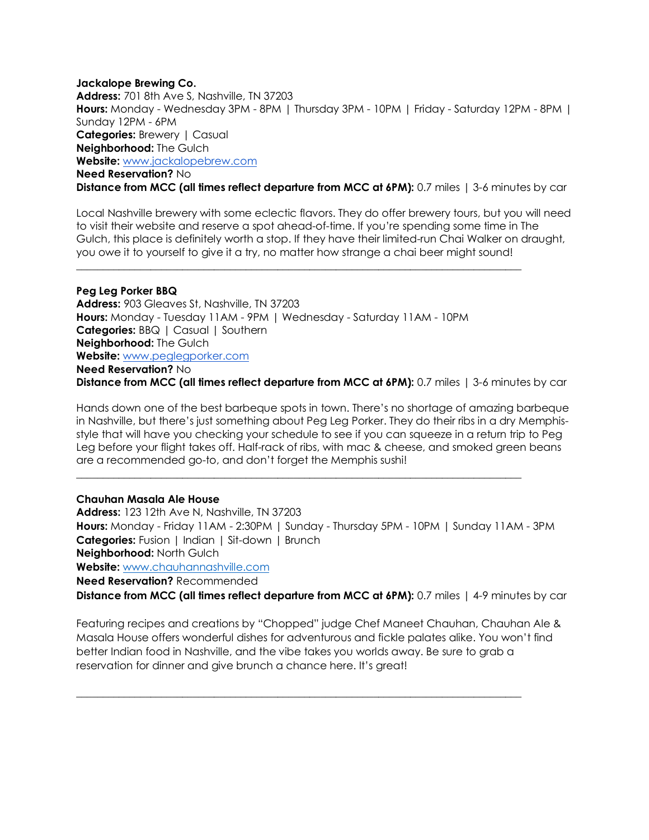## **Jackalope Brewing Co. Address:** 701 8th Ave S, Nashville, TN 37203 **Hours:** Monday - Wednesday 3PM - 8PM | Thursday 3PM - 10PM | Friday - Saturday 12PM - 8PM | Sunday 12PM - 6PM **Categories: Brewery | Casual Neighborhood:** The Gulch **Website:** www.jackalopebrew.com **Need Reservation?** No **Distance from MCC (all times reflect departure from MCC at 6PM):** 0.7 miles | 3-6 minutes by car

Local Nashville brewery with some eclectic flavors. They do offer brewery tours, but you will need to visit their website and reserve a spot ahead-of-time. If you're spending some time in The Gulch, this place is definitely worth a stop. If they have their limited-run Chai Walker on draught, you owe it to yourself to give it a try, no matter how strange a chai beer might sound!

## **Peg Leg Porker BBQ**

**Address:** 903 Gleaves St, Nashville, TN 37203 **Hours:** Monday - Tuesday 11AM - 9PM | Wednesday - Saturday 11AM - 10PM **Categories: BBQ | Casual | Southern Neighborhood:** The Gulch **Website:** www.peglegporker.com **Need Reservation?** No **Distance from MCC (all times reflect departure from MCC at 6PM):** 0.7 miles | 3-6 minutes by car

 $\overline{\phantom{a}}$  ,  $\overline{\phantom{a}}$  ,  $\overline{\phantom{a}}$  ,  $\overline{\phantom{a}}$  ,  $\overline{\phantom{a}}$  ,  $\overline{\phantom{a}}$  ,  $\overline{\phantom{a}}$  ,  $\overline{\phantom{a}}$  ,  $\overline{\phantom{a}}$  ,  $\overline{\phantom{a}}$  ,  $\overline{\phantom{a}}$  ,  $\overline{\phantom{a}}$  ,  $\overline{\phantom{a}}$  ,  $\overline{\phantom{a}}$  ,  $\overline{\phantom{a}}$  ,  $\overline{\phantom{a}}$ 

Hands down one of the best barbeque spots in town. There's no shortage of amazing barbeque in Nashville, but there's just something about Peg Leg Porker. They do their ribs in a dry Memphisstyle that will have you checking your schedule to see if you can squeeze in a return trip to Peg Leg before your flight takes off. Half-rack of ribs, with mac & cheese, and smoked green beans are a recommended go-to, and don't forget the Memphis sushi!

## **Chauhan Masala Ale House**

**Address:** 123 12th Ave N, Nashville, TN 37203 **Hours:** Monday - Friday 11AM - 2:30PM | Sunday - Thursday 5PM - 10PM | Sunday 11AM - 3PM **Categories:** Fusion | Indian | Sit-down | Brunch **Neighborhood:** North Gulch **Website:** www.chauhannashville.com

\_\_\_\_\_\_\_\_\_\_\_\_\_\_\_\_\_\_\_\_\_\_\_\_\_\_\_\_\_\_\_\_\_\_\_\_\_\_\_\_\_\_\_\_\_\_\_\_\_\_\_\_\_\_\_\_\_\_\_\_\_\_\_\_\_\_\_\_\_\_\_\_\_\_\_\_\_\_\_\_\_\_\_\_

**Need Reservation?** Recommended

**Distance from MCC (all times reflect departure from MCC at 6PM):** 0.7 miles | 4-9 minutes by car

Featuring recipes and creations by "Chopped" judge Chef Maneet Chauhan, Chauhan Ale & Masala House offers wonderful dishes for adventurous and fickle palates alike. You won't find better Indian food in Nashville, and the vibe takes you worlds away. Be sure to grab a reservation for dinner and give brunch a chance here. It's great!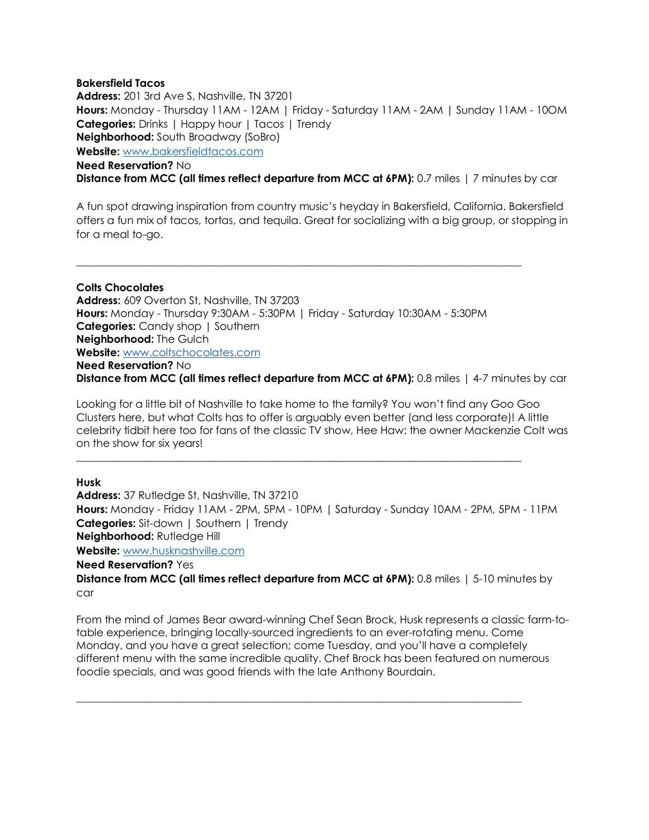## **Bakersfield Tacos Address:** 201 3rd Ave S, Nashville, TN 37201 **Hours:** Monday - Thursday 11AM - 12AM | Friday - Saturday 11AM - 2AM | Sunday 11AM - 10OM **Categories:** Drinks | Happy hour | Tacos | Trendy **Neighborhood:** South Broadway (SoBro) **Website:** www.bakersfieldtacos.com **Need Reservation?** No **Distance from MCC (all times reflect departure from MCC at 6PM):** 0.7 miles | 7 minutes by car

A fun spot drawing inspiration from country music's heyday in Bakersfield, California. Bakersfield offers a fun mix of tacos, tortas, and tequila. Great for socializing with a big group, or stopping in for a meal to-go.

**Colts Chocolates Address:** 609 Overton St, Nashville, TN 37203 **Hours:** Monday - Thursday 9:30AM - 5:30PM | Friday - Saturday 10:30AM - 5:30PM **Categories:** Candy shop | Southern **Neighborhood:** The Gulch **Website:** www.coltschocolates.com **Need Reservation?** No **Distance from MCC (all times reflect departure from MCC at 6PM):** 0.8 miles | 4-7 minutes by car

 $\mathcal{L}_\text{max} = \{ \mathcal{L}_\text{max} = \{ \mathcal{L}_\text{max} = \{ \mathcal{L}_\text{max} = \{ \mathcal{L}_\text{max} = \{ \mathcal{L}_\text{max} = \{ \mathcal{L}_\text{max} = \{ \mathcal{L}_\text{max} = \{ \mathcal{L}_\text{max} = \{ \mathcal{L}_\text{max} = \{ \mathcal{L}_\text{max} = \{ \mathcal{L}_\text{max} = \{ \mathcal{L}_\text{max} = \{ \mathcal{L}_\text{max} = \{ \mathcal{L}_\text{max} = \{ \mathcal{L}_\text{max$ 

Looking for a little bit of Nashville to take home to the family? You won't find any Goo Goo Clusters here, but what Colts has to offer is arguably even better (and less corporate)! A little celebrity tidbit here too for fans of the classic TV show, Hee Haw: the owner Mackenzie Colt was on the show for six years!

 $\mathcal{L}_\text{max} = \{ \mathcal{L}_\text{max} = \{ \mathcal{L}_\text{max} = \{ \mathcal{L}_\text{max} = \{ \mathcal{L}_\text{max} = \{ \mathcal{L}_\text{max} = \{ \mathcal{L}_\text{max} = \{ \mathcal{L}_\text{max} = \{ \mathcal{L}_\text{max} = \{ \mathcal{L}_\text{max} = \{ \mathcal{L}_\text{max} = \{ \mathcal{L}_\text{max} = \{ \mathcal{L}_\text{max} = \{ \mathcal{L}_\text{max} = \{ \mathcal{L}_\text{max} = \{ \mathcal{L}_\text{max$ 

## **Husk**

**Address:** 37 Rutledge St, Nashville, TN 37210 **Hours:** Monday - Friday 11AM - 2PM, 5PM - 10PM | Saturday - Sunday 10AM - 2PM, 5PM - 11PM **Categories:** Sit-down | Southern | Trendy **Neighborhood:** Rutledge Hill **Website:** www.husknashville.com **Need Reservation?** Yes

**Distance from MCC (all times reflect departure from MCC at 6PM): 0.8 miles | 5-10 minutes by** car

From the mind of James Bear award-winning Chef Sean Brock, Husk represents a classic farm-totable experience, bringing locally-sourced ingredients to an ever-rotating menu. Come Monday, and you have a great selection; come Tuesday, and you'll have a completely different menu with the same incredible quality. Chef Brock has been featured on numerous foodie specials, and was good friends with the late Anthony Bourdain.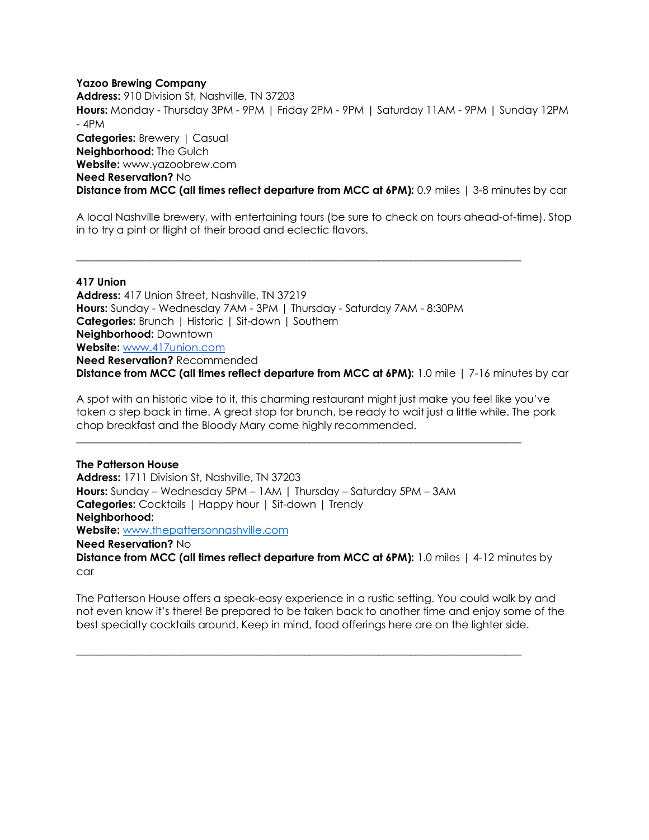## **Yazoo Brewing Company**

**Address:** 910 Division St, Nashville, TN 37203 **Hours:** Monday - Thursday 3PM - 9PM | Friday 2PM - 9PM | Saturday 11AM - 9PM | Sunday 12PM - 4PM **Categories: Brewery | Casual Neighborhood:** The Gulch **Website:** www.yazoobrew.com **Need Reservation?** No **Distance from MCC (all times reflect departure from MCC at 6PM):** 0.9 miles | 3-8 minutes by car

A local Nashville brewery, with entertaining tours (be sure to check on tours ahead-of-time). Stop in to try a pint or flight of their broad and eclectic flavors.

## **417 Union**

**Address:** 417 Union Street, Nashville, TN 37219 **Hours:** Sunday - Wednesday 7AM - 3PM | Thursday - Saturday 7AM - 8:30PM **Categories:** Brunch | Historic | Sit-down | Southern **Neighborhood:** Downtown **Website:** www.417union.com **Need Reservation?** Recommended **Distance from MCC (all times reflect departure from MCC at 6PM):** 1.0 mile | 7-16 minutes by car

\_\_\_\_\_\_\_\_\_\_\_\_\_\_\_\_\_\_\_\_\_\_\_\_\_\_\_\_\_\_\_\_\_\_\_\_\_\_\_\_\_\_\_\_\_\_\_\_\_\_\_\_\_\_\_\_\_\_\_\_\_\_\_\_\_\_\_\_\_\_\_\_\_\_\_\_\_\_\_\_\_\_\_\_

A spot with an historic vibe to it, this charming restaurant might just make you feel like you've taken a step back in time. A great stop for brunch, be ready to wait just a little while. The pork chop breakfast and the Bloody Mary come highly recommended.

**The Patterson House Address:** 1711 Division St, Nashville, TN 37203 **Hours:** Sunday – Wednesday 5PM – 1AM | Thursday – Saturday 5PM – 3AM **Categories:** Cocktails | Happy hour | Sit-down | Trendy **Neighborhood: Website:** www.thepattersonnashville.com **Need Reservation?** No **Distance from MCC (all times reflect departure from MCC at 6PM):** 1.0 miles | 4-12 minutes by

\_\_\_\_\_\_\_\_\_\_\_\_\_\_\_\_\_\_\_\_\_\_\_\_\_\_\_\_\_\_\_\_\_\_\_\_\_\_\_\_\_\_\_\_\_\_\_\_\_\_\_\_\_\_\_\_\_\_\_\_\_\_\_\_\_\_\_\_\_\_\_\_\_\_\_\_\_\_\_\_\_\_\_\_

car

The Patterson House offers a speak-easy experience in a rustic setting. You could walk by and not even know it's there! Be prepared to be taken back to another time and enjoy some of the best specialty cocktails around. Keep in mind, food offerings here are on the lighter side.

 $\overline{\phantom{a}}$  ,  $\overline{\phantom{a}}$  ,  $\overline{\phantom{a}}$  ,  $\overline{\phantom{a}}$  ,  $\overline{\phantom{a}}$  ,  $\overline{\phantom{a}}$  ,  $\overline{\phantom{a}}$  ,  $\overline{\phantom{a}}$  ,  $\overline{\phantom{a}}$  ,  $\overline{\phantom{a}}$  ,  $\overline{\phantom{a}}$  ,  $\overline{\phantom{a}}$  ,  $\overline{\phantom{a}}$  ,  $\overline{\phantom{a}}$  ,  $\overline{\phantom{a}}$  ,  $\overline{\phantom{a}}$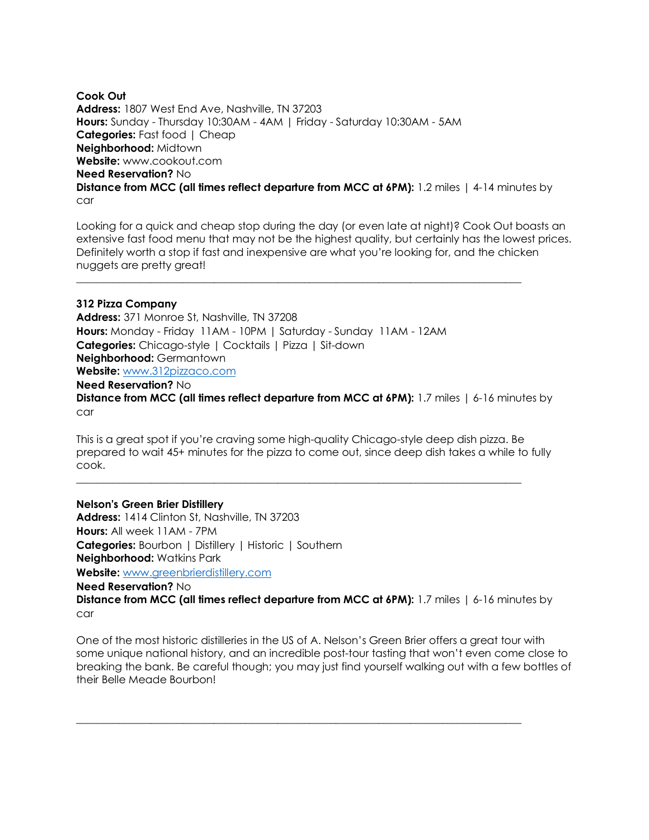**Cook Out Address:** 1807 West End Ave, Nashville, TN 37203 **Hours:** Sunday - Thursday 10:30AM - 4AM | Friday - Saturday 10:30AM - 5AM **Categories:** Fast food | Cheap **Neighborhood:** Midtown **Website:** www.cookout.com **Need Reservation?** No **Distance from MCC (all times reflect departure from MCC at 6PM):** 1.2 miles | 4-14 minutes by car

Looking for a quick and cheap stop during the day (or even late at night)? Cook Out boasts an extensive fast food menu that may not be the highest quality, but certainly has the lowest prices. Definitely worth a stop if fast and inexpensive are what you're looking for, and the chicken nuggets are pretty great!

\_\_\_\_\_\_\_\_\_\_\_\_\_\_\_\_\_\_\_\_\_\_\_\_\_\_\_\_\_\_\_\_\_\_\_\_\_\_\_\_\_\_\_\_\_\_\_\_\_\_\_\_\_\_\_\_\_\_\_\_\_\_\_\_\_\_\_\_\_\_\_\_\_\_\_\_\_\_\_\_\_\_\_\_

## **312 Pizza Company**

**Address:** 371 Monroe St, Nashville, TN 37208 **Hours:** Monday - Friday 11AM - 10PM | Saturday - Sunday 11AM - 12AM **Categories:** Chicago-style | Cocktails | Pizza | Sit-down **Neighborhood:** Germantown **Website:** www.312pizzaco.com **Need Reservation?** No

**Distance from MCC (all times reflect departure from MCC at 6PM):** 1.7 miles | 6-16 minutes by car

This is a great spot if you're craving some high-quality Chicago-style deep dish pizza. Be prepared to wait 45+ minutes for the pizza to come out, since deep dish takes a while to fully cook.

 $\mathcal{L}_\text{max} = \{ \mathcal{L}_\text{max} = \{ \mathcal{L}_\text{max} = \{ \mathcal{L}_\text{max} = \{ \mathcal{L}_\text{max} = \{ \mathcal{L}_\text{max} = \{ \mathcal{L}_\text{max} = \{ \mathcal{L}_\text{max} = \{ \mathcal{L}_\text{max} = \{ \mathcal{L}_\text{max} = \{ \mathcal{L}_\text{max} = \{ \mathcal{L}_\text{max} = \{ \mathcal{L}_\text{max} = \{ \mathcal{L}_\text{max} = \{ \mathcal{L}_\text{max} = \{ \mathcal{L}_\text{max$ 

**Nelson's Green Brier Distillery Address:** 1414 Clinton St, Nashville, TN 37203 **Hours:** All week 11AM - 7PM **Categories:** Bourbon | Distillery | Historic | Southern **Neighborhood:** Watkins Park **Website:** www.greenbrierdistillery.com **Need Reservation?** No **Distance from MCC (all times reflect departure from MCC at 6PM):** 1.7 miles | 6-16 minutes by car

One of the most historic distilleries in the US of A. Nelson's Green Brier offers a great tour with some unique national history, and an incredible post-tour tasting that won't even come close to breaking the bank. Be careful though; you may just find yourself walking out with a few bottles of their Belle Meade Bourbon!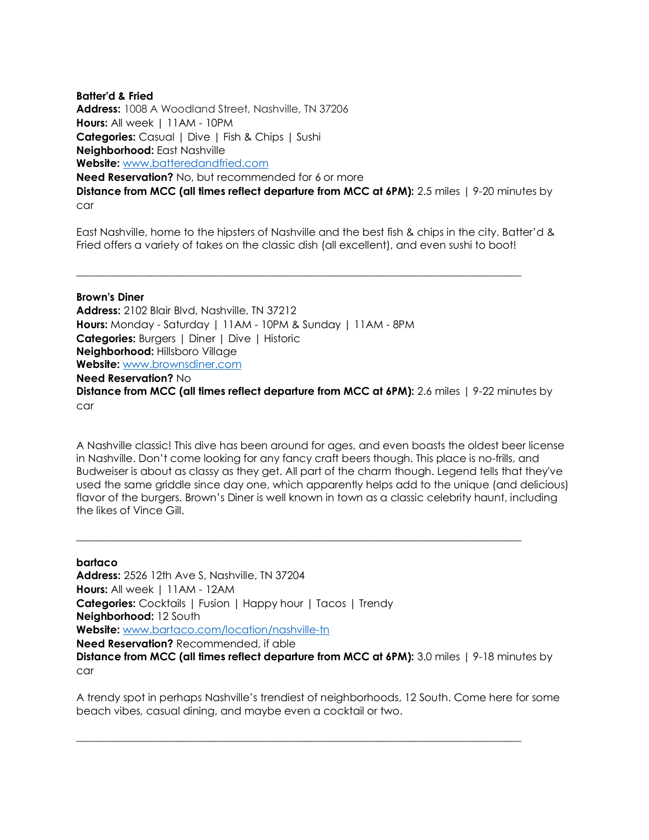## **Batter'd & Fried**

**Address:** 1008 A Woodland Street, Nashville, TN 37206 **Hours:** All week | 11AM - 10PM **Categories:** Casual | Dive | Fish & Chips | Sushi **Neighborhood:** East Nashville **Website:** www.batteredandfried.com **Need Reservation?** No, but recommended for 6 or more **Distance from MCC (all times reflect departure from MCC at 6PM):** 2.5 miles | 9-20 minutes by car

East Nashville, home to the hipsters of Nashville and the best fish & chips in the city. Batter'd & Fried offers a variety of takes on the classic dish (all excellent), and even sushi to boot!

\_\_\_\_\_\_\_\_\_\_\_\_\_\_\_\_\_\_\_\_\_\_\_\_\_\_\_\_\_\_\_\_\_\_\_\_\_\_\_\_\_\_\_\_\_\_\_\_\_\_\_\_\_\_\_\_\_\_\_\_\_\_\_\_\_\_\_\_\_\_\_\_\_\_\_\_\_\_\_\_\_\_\_\_

## **Brown's Diner**

**Address:** 2102 Blair Blvd, Nashville, TN 37212 **Hours:** Monday - Saturday | 11AM - 10PM & Sunday | 11AM - 8PM **Categories:** Burgers | Diner | Dive | Historic **Neighborhood:** Hillsboro Village **Website:** www.brownsdiner.com **Need Reservation?** No **Distance from MCC (all times reflect departure from MCC at 6PM):** 2.6 miles | 9-22 minutes by car

A Nashville classic! This dive has been around for ages, and even boasts the oldest beer license in Nashville. Don't come looking for any fancy craft beers though. This place is no-frills, and Budweiser is about as classy as they get. All part of the charm though. Legend tells that they've used the same griddle since day one, which apparently helps add to the unique (and delicious) flavor of the burgers. Brown's Diner is well known in town as a classic celebrity haunt, including the likes of Vince Gill.

## **bartaco**

**Address:** 2526 12th Ave S, Nashville, TN 37204 **Hours:** All week | 11AM - 12AM **Categories:** Cocktails | Fusion | Happy hour | Tacos | Trendy **Neighborhood:** 12 South **Website:** www.bartaco.com/location/nashville-tn **Need Reservation?** Recommended, if able **Distance from MCC (all times reflect departure from MCC at 6PM):** 3.0 miles | 9-18 minutes by

 $\mathcal{L}_\text{max} = \{ \mathcal{L}_\text{max} = \{ \mathcal{L}_\text{max} = \{ \mathcal{L}_\text{max} = \{ \mathcal{L}_\text{max} = \{ \mathcal{L}_\text{max} = \{ \mathcal{L}_\text{max} = \{ \mathcal{L}_\text{max} = \{ \mathcal{L}_\text{max} = \{ \mathcal{L}_\text{max} = \{ \mathcal{L}_\text{max} = \{ \mathcal{L}_\text{max} = \{ \mathcal{L}_\text{max} = \{ \mathcal{L}_\text{max} = \{ \mathcal{L}_\text{max} = \{ \mathcal{L}_\text{max$ 

car

A trendy spot in perhaps Nashville's trendiest of neighborhoods, 12 South. Come here for some beach vibes, casual dining, and maybe even a cocktail or two.

 $\overline{\phantom{a}}$  ,  $\overline{\phantom{a}}$  ,  $\overline{\phantom{a}}$  ,  $\overline{\phantom{a}}$  ,  $\overline{\phantom{a}}$  ,  $\overline{\phantom{a}}$  ,  $\overline{\phantom{a}}$  ,  $\overline{\phantom{a}}$  ,  $\overline{\phantom{a}}$  ,  $\overline{\phantom{a}}$  ,  $\overline{\phantom{a}}$  ,  $\overline{\phantom{a}}$  ,  $\overline{\phantom{a}}$  ,  $\overline{\phantom{a}}$  ,  $\overline{\phantom{a}}$  ,  $\overline{\phantom{a}}$